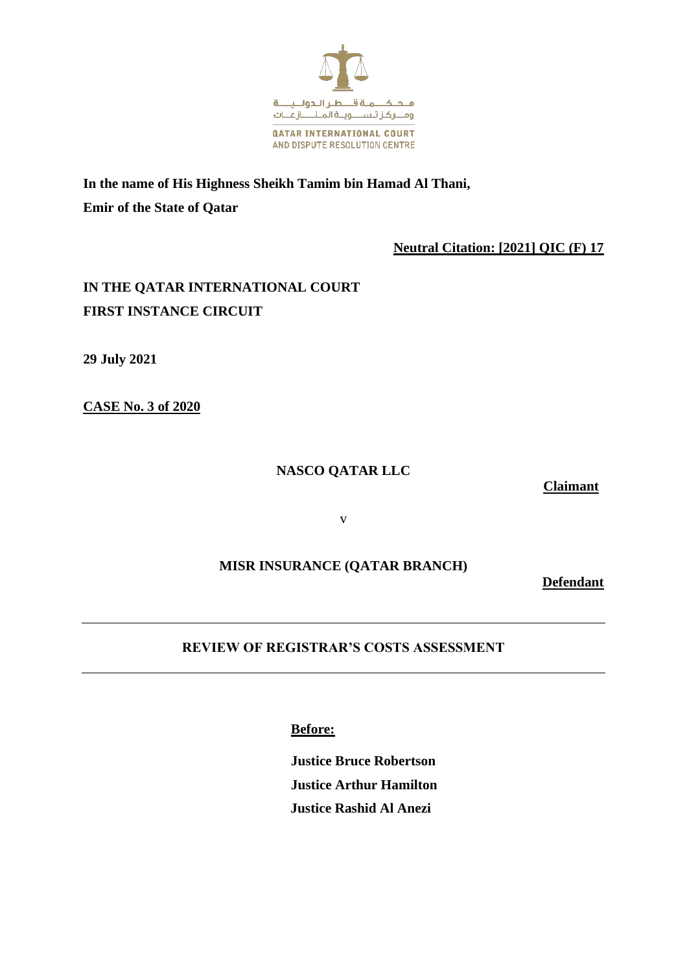

**In the name of His Highness Sheikh Tamim bin Hamad Al Thani, Emir of the State of Qatar**

### **Neutral Citation: [2021] QIC (F) 17**

# **IN THE QATAR INTERNATIONAL COURT FIRST INSTANCE CIRCUIT**

**29 July 2021**

**CASE No. 3 of 2020** 

### **NASCO QATAR LLC**

**Claimant**

v

## **MISR INSURANCE (QATAR BRANCH)**

**Defendant**

# **REVIEW OF REGISTRAR'S COSTS ASSESSMENT**

**Before:**

**Justice Bruce Robertson Justice Arthur Hamilton Justice Rashid Al Anezi**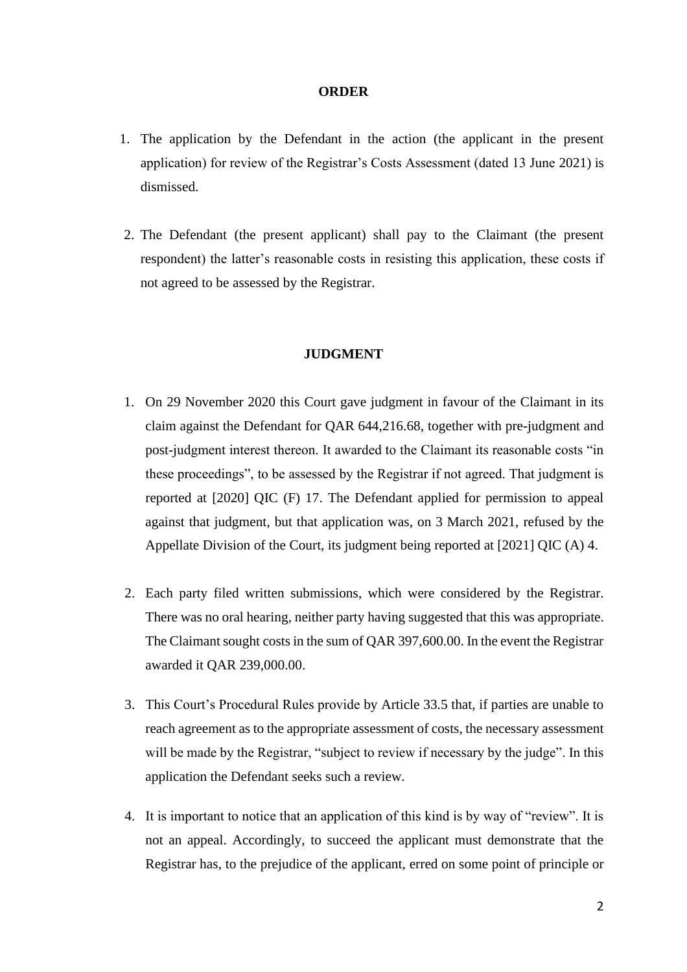#### **ORDER**

- 1. The application by the Defendant in the action (the applicant in the present application) for review of the Registrar's Costs Assessment (dated 13 June 2021) is dismissed.
- 2. The Defendant (the present applicant) shall pay to the Claimant (the present respondent) the latter's reasonable costs in resisting this application, these costs if not agreed to be assessed by the Registrar.

#### **JUDGMENT**

- 1. On 29 November 2020 this Court gave judgment in favour of the Claimant in its claim against the Defendant for QAR 644,216.68, together with pre-judgment and post-judgment interest thereon. It awarded to the Claimant its reasonable costs "in these proceedings", to be assessed by the Registrar if not agreed. That judgment is reported at [2020] QIC (F) 17. The Defendant applied for permission to appeal against that judgment, but that application was, on 3 March 2021, refused by the Appellate Division of the Court, its judgment being reported at [2021] QIC (A) 4.
- 2. Each party filed written submissions, which were considered by the Registrar. There was no oral hearing, neither party having suggested that this was appropriate. The Claimant sought costs in the sum of QAR 397,600.00. In the event the Registrar awarded it QAR 239,000.00.
- 3. This Court's Procedural Rules provide by Article 33.5 that, if parties are unable to reach agreement as to the appropriate assessment of costs, the necessary assessment will be made by the Registrar, "subject to review if necessary by the judge". In this application the Defendant seeks such a review.
- 4. It is important to notice that an application of this kind is by way of "review". It is not an appeal. Accordingly, to succeed the applicant must demonstrate that the Registrar has, to the prejudice of the applicant, erred on some point of principle or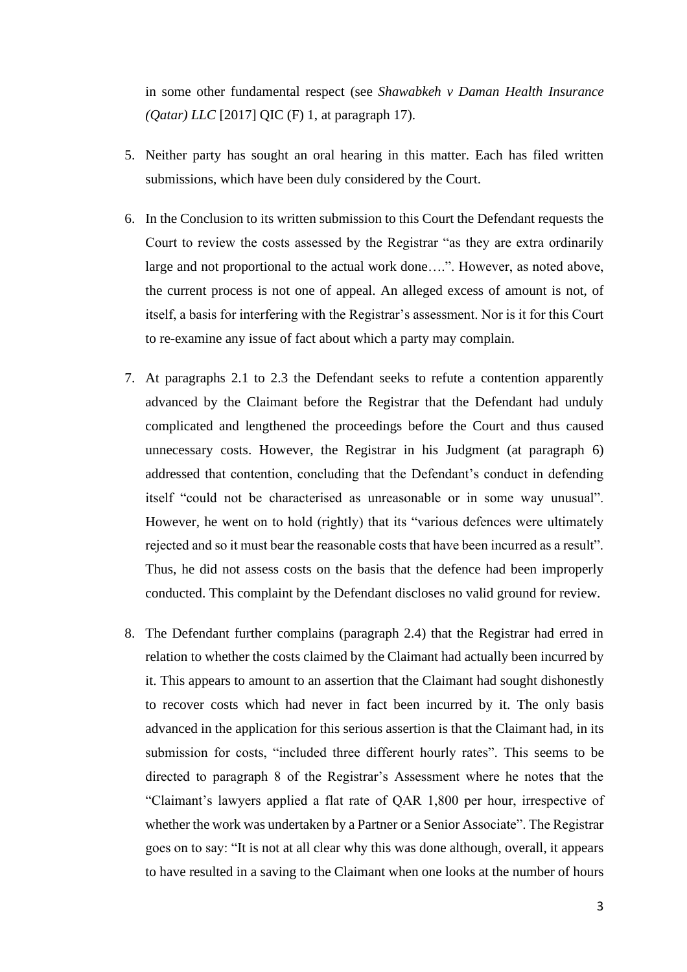in some other fundamental respect (see *Shawabkeh v Daman Health Insurance (Qatar) LLC* [2017] QIC (F) 1, at paragraph 17).

- 5. Neither party has sought an oral hearing in this matter. Each has filed written submissions, which have been duly considered by the Court.
- 6. In the Conclusion to its written submission to this Court the Defendant requests the Court to review the costs assessed by the Registrar "as they are extra ordinarily large and not proportional to the actual work done….". However, as noted above, the current process is not one of appeal. An alleged excess of amount is not, of itself, a basis for interfering with the Registrar's assessment. Nor is it for this Court to re-examine any issue of fact about which a party may complain.
- 7. At paragraphs 2.1 to 2.3 the Defendant seeks to refute a contention apparently advanced by the Claimant before the Registrar that the Defendant had unduly complicated and lengthened the proceedings before the Court and thus caused unnecessary costs. However, the Registrar in his Judgment (at paragraph 6) addressed that contention, concluding that the Defendant's conduct in defending itself "could not be characterised as unreasonable or in some way unusual". However, he went on to hold (rightly) that its "various defences were ultimately rejected and so it must bear the reasonable costs that have been incurred as a result". Thus, he did not assess costs on the basis that the defence had been improperly conducted. This complaint by the Defendant discloses no valid ground for review.
- 8. The Defendant further complains (paragraph 2.4) that the Registrar had erred in relation to whether the costs claimed by the Claimant had actually been incurred by it. This appears to amount to an assertion that the Claimant had sought dishonestly to recover costs which had never in fact been incurred by it. The only basis advanced in the application for this serious assertion is that the Claimant had, in its submission for costs, "included three different hourly rates". This seems to be directed to paragraph 8 of the Registrar's Assessment where he notes that the "Claimant's lawyers applied a flat rate of QAR 1,800 per hour, irrespective of whether the work was undertaken by a Partner or a Senior Associate". The Registrar goes on to say: "It is not at all clear why this was done although, overall, it appears to have resulted in a saving to the Claimant when one looks at the number of hours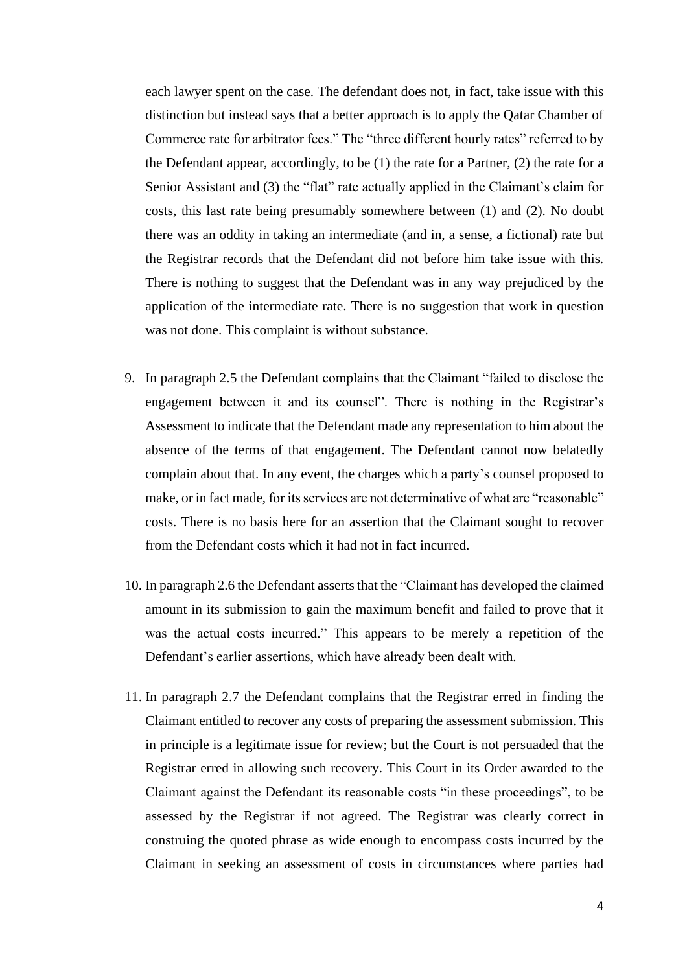each lawyer spent on the case. The defendant does not, in fact, take issue with this distinction but instead says that a better approach is to apply the Qatar Chamber of Commerce rate for arbitrator fees." The "three different hourly rates" referred to by the Defendant appear, accordingly, to be (1) the rate for a Partner, (2) the rate for a Senior Assistant and (3) the "flat" rate actually applied in the Claimant's claim for costs, this last rate being presumably somewhere between (1) and (2). No doubt there was an oddity in taking an intermediate (and in, a sense, a fictional) rate but the Registrar records that the Defendant did not before him take issue with this. There is nothing to suggest that the Defendant was in any way prejudiced by the application of the intermediate rate. There is no suggestion that work in question was not done. This complaint is without substance.

- 9. In paragraph 2.5 the Defendant complains that the Claimant "failed to disclose the engagement between it and its counsel". There is nothing in the Registrar's Assessment to indicate that the Defendant made any representation to him about the absence of the terms of that engagement. The Defendant cannot now belatedly complain about that. In any event, the charges which a party's counsel proposed to make, or in fact made, for its services are not determinative of what are "reasonable" costs. There is no basis here for an assertion that the Claimant sought to recover from the Defendant costs which it had not in fact incurred.
- 10. In paragraph 2.6 the Defendant asserts that the "Claimant has developed the claimed amount in its submission to gain the maximum benefit and failed to prove that it was the actual costs incurred." This appears to be merely a repetition of the Defendant's earlier assertions, which have already been dealt with.
- 11. In paragraph 2.7 the Defendant complains that the Registrar erred in finding the Claimant entitled to recover any costs of preparing the assessment submission. This in principle is a legitimate issue for review; but the Court is not persuaded that the Registrar erred in allowing such recovery. This Court in its Order awarded to the Claimant against the Defendant its reasonable costs "in these proceedings", to be assessed by the Registrar if not agreed. The Registrar was clearly correct in construing the quoted phrase as wide enough to encompass costs incurred by the Claimant in seeking an assessment of costs in circumstances where parties had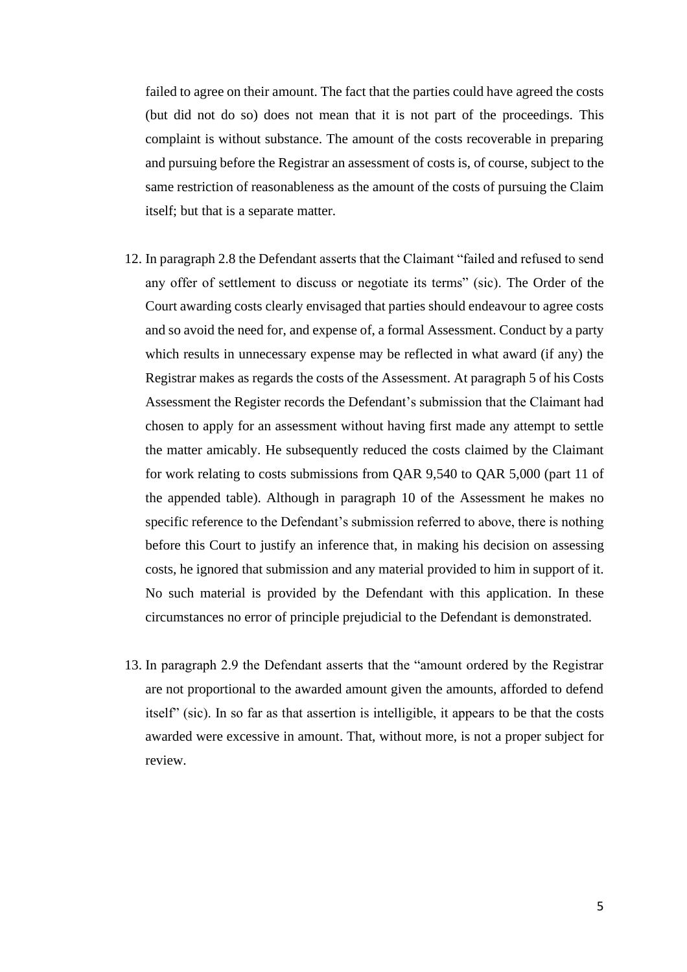failed to agree on their amount. The fact that the parties could have agreed the costs (but did not do so) does not mean that it is not part of the proceedings. This complaint is without substance. The amount of the costs recoverable in preparing and pursuing before the Registrar an assessment of costs is, of course, subject to the same restriction of reasonableness as the amount of the costs of pursuing the Claim itself; but that is a separate matter.

- 12. In paragraph 2.8 the Defendant asserts that the Claimant "failed and refused to send any offer of settlement to discuss or negotiate its terms" (sic). The Order of the Court awarding costs clearly envisaged that parties should endeavour to agree costs and so avoid the need for, and expense of, a formal Assessment. Conduct by a party which results in unnecessary expense may be reflected in what award (if any) the Registrar makes as regards the costs of the Assessment. At paragraph 5 of his Costs Assessment the Register records the Defendant's submission that the Claimant had chosen to apply for an assessment without having first made any attempt to settle the matter amicably. He subsequently reduced the costs claimed by the Claimant for work relating to costs submissions from QAR 9,540 to QAR 5,000 (part 11 of the appended table). Although in paragraph 10 of the Assessment he makes no specific reference to the Defendant's submission referred to above, there is nothing before this Court to justify an inference that, in making his decision on assessing costs, he ignored that submission and any material provided to him in support of it. No such material is provided by the Defendant with this application. In these circumstances no error of principle prejudicial to the Defendant is demonstrated.
- 13. In paragraph 2.9 the Defendant asserts that the "amount ordered by the Registrar are not proportional to the awarded amount given the amounts, afforded to defend itself" (sic). In so far as that assertion is intelligible, it appears to be that the costs awarded were excessive in amount. That, without more, is not a proper subject for review.